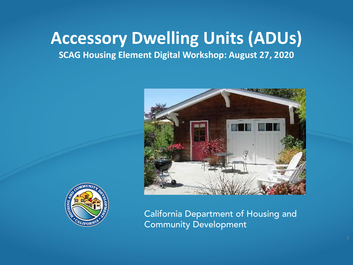#### **Accessory Dwelling Units (ADUs)**

**SCAG Housing Element Digital Workshop: August 27, 2020**





California Department of Housing and Community Development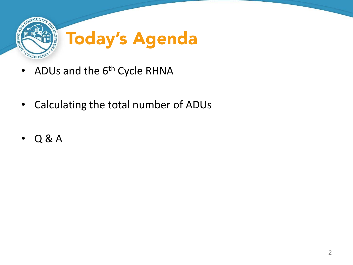

- ADUs and the  $6<sup>th</sup>$  Cycle RHNA
- Calculating the total number of ADUs
- Q & A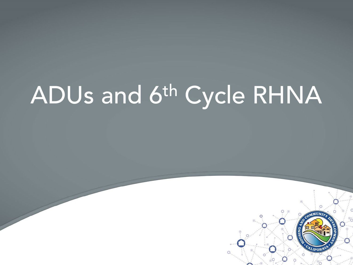# ADUs and 6th Cycle RHNA

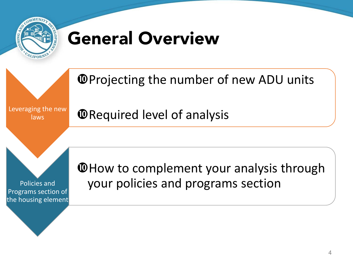

### General Overview

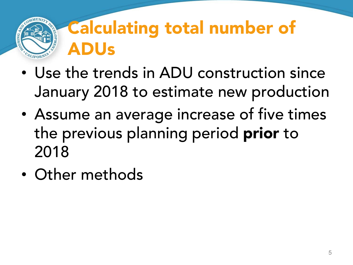### Calculating total number of ADUs

- Use the trends in ADU construction since January 2018 to estimate new production
- Assume an average increase of five times the previous planning period prior to 2018
- Other methods

CALIFORN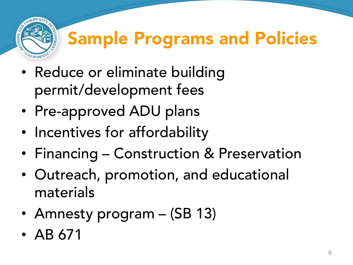

## Sample Programs and Policies

- Reduce or eliminate building permit/development fees
- Pre-approved ADU plans
- Incentives for affordability
- Financing Construction & Preservation
- Outreach, promotion, and educational materials
- Amnesty program (SB 13)
- AB 671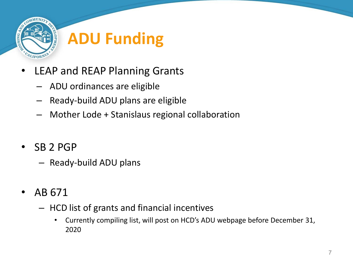

- LEAP and REAP Planning Grants
	- ADU ordinances are eligible
	- Ready-build ADU plans are eligible
	- Mother Lode + Stanislaus regional collaboration
- SB 2 PGP
	- Ready-build ADU plans
- AB 671
	- HCD list of grants and financial incentives
		- Currently compiling list, will post on HCD's ADU webpage before December 31, 2020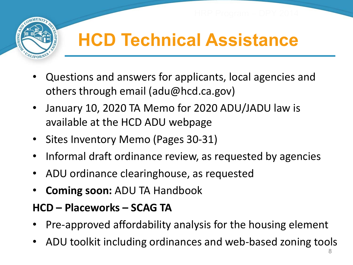

#### **HCD Technical Assistance**

- Questions and answers for applicants, local agencies and others through email (adu@hcd.ca.gov)
- January 10, 2020 TA Memo for 2020 ADU/JADU law is available at the HCD ADU webpage
- Sites Inventory Memo (Pages 30-31)
- Informal draft ordinance review, as requested by agencies
- ADU ordinance clearinghouse, as requested
- **Coming soon:** ADU TA Handbook

#### **HCD – Placeworks – SCAG TA**

- Pre-approved affordability analysis for the housing element
- ADU toolkit including ordinances and web-based zoning tools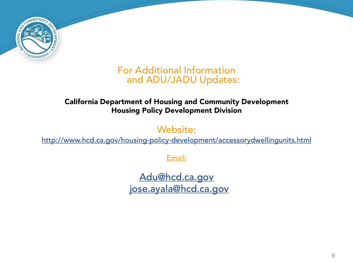

#### For Additional Information and ADU/JADU Updates:

#### California Department of Housing and Community Development Housing Policy Development Division

Website:

<http://www.hcd.ca.gov/housing-policy-development/accessorydwellingunits.html>

Email:

[Adu@hcd.ca.gov](mailto:ADU@hcd.ca.gov) [jose.ayala@hcd.ca.gov](mailto:jose.ayala@hcd.ca.gov)